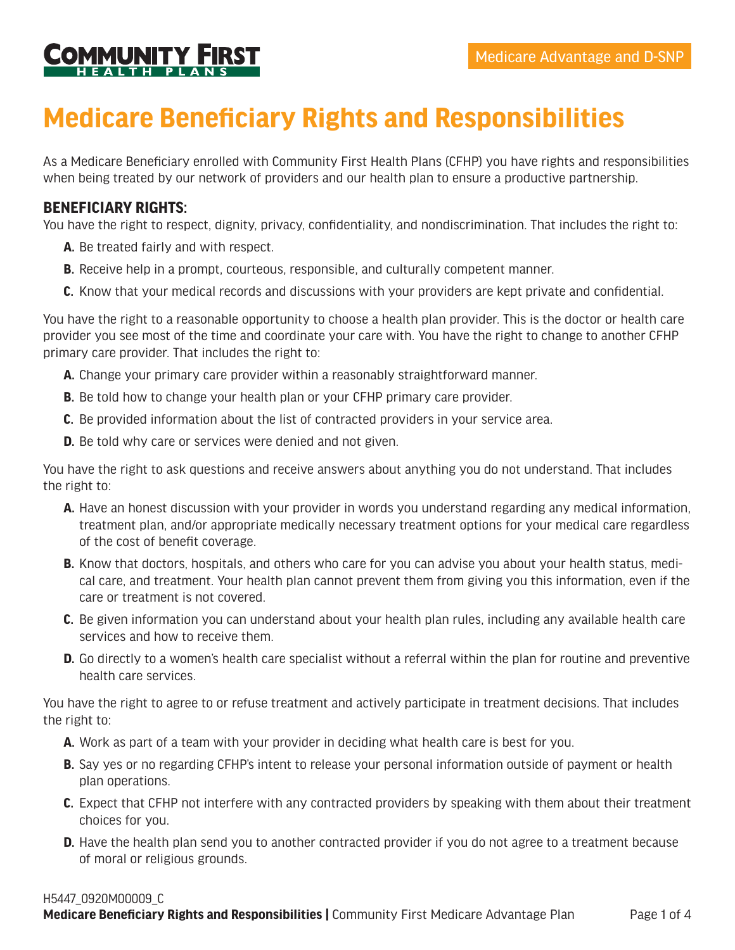

## **Medicare Beneficiary Rights and Responsibilities**

As a Medicare Beneficiary enrolled with Community First Health Plans (CFHP) you have rights and responsibilities when being treated by our network of providers and our health plan to ensure a productive partnership.

## **BENEFICIARY RIGHTS:**

You have the right to respect, dignity, privacy, confidentiality, and nondiscrimination. That includes the right to:

- **A.** Be treated fairly and with respect.
- **B.** Receive help in a prompt, courteous, responsible, and culturally competent manner.
- **C.** Know that your medical records and discussions with your providers are kept private and confidential.

You have the right to a reasonable opportunity to choose a health plan provider. This is the doctor or health care provider you see most of the time and coordinate your care with. You have the right to change to another CFHP primary care provider. That includes the right to:

- **A.** Change your primary care provider within a reasonably straightforward manner.
- **B.** Be told how to change your health plan or your CFHP primary care provider.
- **C.** Be provided information about the list of contracted providers in your service area.
- **D.** Be told why care or services were denied and not given.

You have the right to ask questions and receive answers about anything you do not understand. That includes the right to:

- **A.** Have an honest discussion with your provider in words you understand regarding any medical information, treatment plan, and/or appropriate medically necessary treatment options for your medical care regardless of the cost of benefit coverage.
- **B.** Know that doctors, hospitals, and others who care for you can advise you about your health status, medical care, and treatment. Your health plan cannot prevent them from giving you this information, even if the care or treatment is not covered.
- **C.** Be given information you can understand about your health plan rules, including any available health care services and how to receive them.
- **D.** Go directly to a women's health care specialist without a referral within the plan for routine and preventive health care services.

You have the right to agree to or refuse treatment and actively participate in treatment decisions. That includes the right to:

- **A.** Work as part of a team with your provider in deciding what health care is best for you.
- **B.** Say yes or no regarding CFHP's intent to release your personal information outside of payment or health plan operations.
- **C.** Expect that CFHP not interfere with any contracted providers by speaking with them about their treatment choices for you.
- **D.** Have the health plan send you to another contracted provider if you do not agree to a treatment because of moral or religious grounds.

## H5447\_0920M00009\_C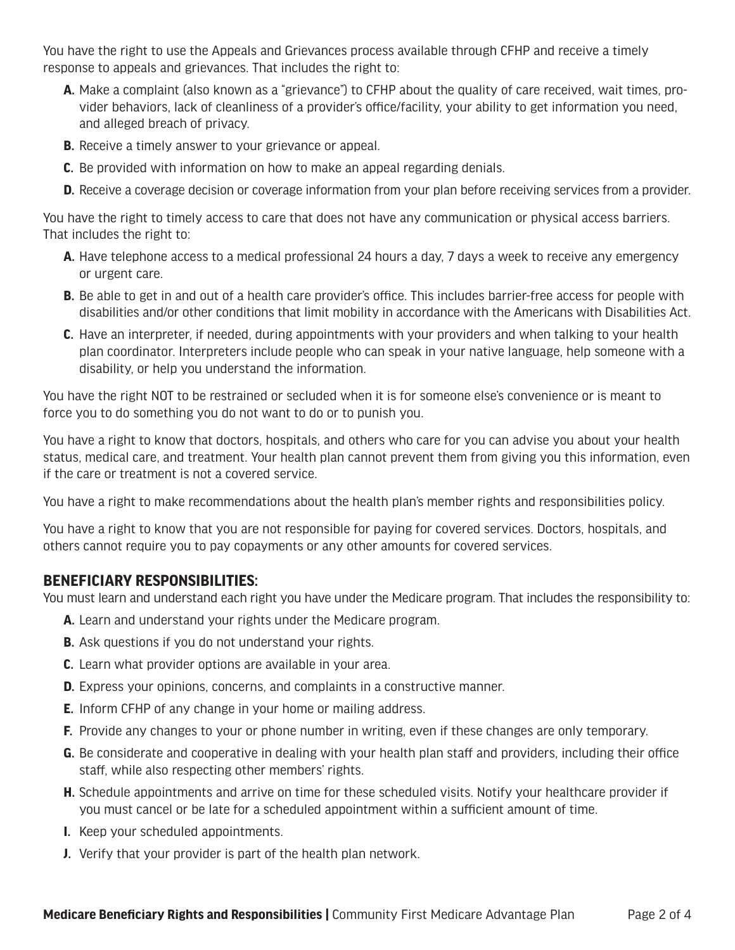You have the right to use the Appeals and Grievances process available through CFHP and receive a timely response to appeals and grievances. That includes the right to:

- **A.** Make a complaint (also known as a "grievance") to CFHP about the quality of care received, wait times, provider behaviors, lack of cleanliness of a provider's office/facility, your ability to get information you need, and alleged breach of privacy.
- **B.** Receive a timely answer to your grievance or appeal.
- **C.** Be provided with information on how to make an appeal regarding denials.
- **D.** Receive a coverage decision or coverage information from your plan before receiving services from a provider.

You have the right to timely access to care that does not have any communication or physical access barriers. That includes the right to:

- **A.** Have telephone access to a medical professional 24 hours a day, 7 days a week to receive any emergency or urgent care.
- **B.** Be able to get in and out of a health care provider's office. This includes barrier-free access for people with disabilities and/or other conditions that limit mobility in accordance with the Americans with Disabilities Act.
- **C.** Have an interpreter, if needed, during appointments with your providers and when talking to your health plan coordinator. Interpreters include people who can speak in your native language, help someone with a disability, or help you understand the information.

You have the right NOT to be restrained or secluded when it is for someone else's convenience or is meant to force you to do something you do not want to do or to punish you.

You have a right to know that doctors, hospitals, and others who care for you can advise you about your health status, medical care, and treatment. Your health plan cannot prevent them from giving you this information, even if the care or treatment is not a covered service.

You have a right to make recommendations about the health plan's member rights and responsibilities policy.

You have a right to know that you are not responsible for paying for covered services. Doctors, hospitals, and others cannot require you to pay copayments or any other amounts for covered services.

## **BENEFICIARY RESPONSIBILITIES:**

You must learn and understand each right you have under the Medicare program. That includes the responsibility to:

- **A.** Learn and understand your rights under the Medicare program.
- **B.** Ask questions if you do not understand your rights.
- **C.** Learn what provider options are available in your area.
- **D.** Express your opinions, concerns, and complaints in a constructive manner.
- **E.** Inform CFHP of any change in your home or mailing address.
- **F.** Provide any changes to your or phone number in writing, even if these changes are only temporary.
- **G.** Be considerate and cooperative in dealing with your health plan staff and providers, including their office staff, while also respecting other members' rights.
- **H.** Schedule appointments and arrive on time for these scheduled visits. Notify your healthcare provider if you must cancel or be late for a scheduled appointment within a sufficient amount of time.
- **I.** Keep your scheduled appointments.
- **J.** Verify that your provider is part of the health plan network.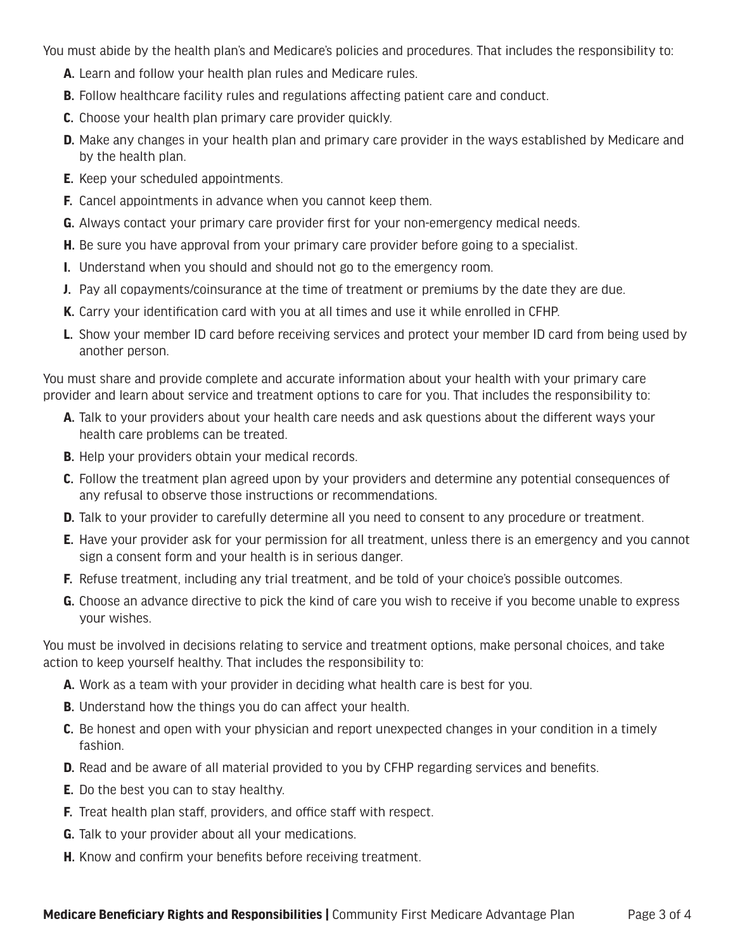You must abide by the health plan's and Medicare's policies and procedures. That includes the responsibility to:

- **A.** Learn and follow your health plan rules and Medicare rules.
- **B.** Follow healthcare facility rules and regulations affecting patient care and conduct.
- **C.** Choose your health plan primary care provider quickly.
- **D.** Make any changes in your health plan and primary care provider in the ways established by Medicare and by the health plan.
- **E.** Keep your scheduled appointments.
- **F.** Cancel appointments in advance when you cannot keep them.
- **G.** Always contact your primary care provider first for your non-emergency medical needs.
- **H.** Be sure you have approval from your primary care provider before going to a specialist.
- **I.** Understand when you should and should not go to the emergency room.
- **J.** Pay all copayments/coinsurance at the time of treatment or premiums by the date they are due.
- **K.** Carry your identification card with you at all times and use it while enrolled in CFHP.
- **L.** Show your member ID card before receiving services and protect your member ID card from being used by another person.

You must share and provide complete and accurate information about your health with your primary care provider and learn about service and treatment options to care for you. That includes the responsibility to:

- **A.** Talk to your providers about your health care needs and ask questions about the different ways your health care problems can be treated.
- **B.** Help your providers obtain your medical records.
- **C.** Follow the treatment plan agreed upon by your providers and determine any potential consequences of any refusal to observe those instructions or recommendations.
- **D.** Talk to your provider to carefully determine all you need to consent to any procedure or treatment.
- **E.** Have your provider ask for your permission for all treatment, unless there is an emergency and you cannot sign a consent form and your health is in serious danger.
- **F.** Refuse treatment, including any trial treatment, and be told of your choice's possible outcomes.
- **G.** Choose an advance directive to pick the kind of care you wish to receive if you become unable to express your wishes.

You must be involved in decisions relating to service and treatment options, make personal choices, and take action to keep yourself healthy. That includes the responsibility to:

- **A.** Work as a team with your provider in deciding what health care is best for you.
- **B.** Understand how the things you do can affect your health.
- **C.** Be honest and open with your physician and report unexpected changes in your condition in a timely fashion.
- **D.** Read and be aware of all material provided to you by CFHP regarding services and benefits.
- **E.** Do the best you can to stay healthy.
- **F.** Treat health plan staff, providers, and office staff with respect.
- **G.** Talk to your provider about all your medications.
- **H.** Know and confirm your benefits before receiving treatment.